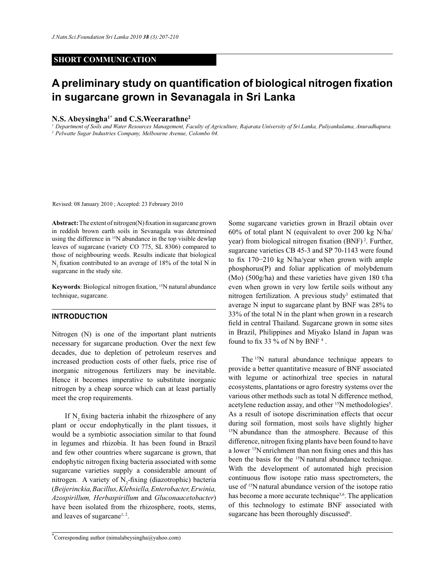## **SHORT COMMUNICATION**

# **A preliminary study on quantification of biological nitrogen fixation in sugarcane grown in Sevanagala in Sri Lanka**

## **N.S. Abeysingha1\* and C.S.Weerarathne<sup>2</sup>**

*1 Department of Soils and Water Resources Management, Faculty of Agriculture, Rajarata University of Sri Lanka, Puliyankulama, Anuradhapura. 2 Pelwatte Sugar Industries Company, Melbourne Avenue, Colombo 04.* 

Revised: 08 January 2010 ; Accepted: 23 February 2010

**Abstract:** The extent of nitrogen(N) fixation in sugarcane grown in reddish brown earth soils in Sevanagala was determined using the difference in <sup>15</sup>N abundance in the top visible dewlap leaves of sugarcane (variety CO 775, SL 8306) compared to those of neighbouring weeds. Results indicate that biological N<sub>2</sub> fixation contributed to an average of 18% of the total N in sugarcane in the study site.

Keywords: Biological nitrogen fixation, <sup>15</sup>N natural abundance technique, sugarcane.

#### **INTRODUCTION**

Nitrogen (N) is one of the important plant nutrients necessary for sugarcane production. Over the next few decades, due to depletion of petroleum reserves and increased production costs of other fuels, price rise of inorganic nitrogenous fertilizers may be inevitable. Hence it becomes imperative to substitute inorganic nitrogen by a cheap source which can at least partially meet the crop requirements.

If N<sub>2</sub> fixing bacteria inhabit the rhizosphere of any plant or occur endophytically in the plant tissues, it would be a symbiotic association similar to that found in legumes and rhizobia. It has been found in Brazil and few other countries where sugarcane is grown, that endophytic nitrogen fixing bacteria associated with some sugarcane varieties supply a considerable amount of nitrogen. A variety of  $N_2$ -fixing (diazotrophic) bacteria (*Beijerinckia, Bacillus, Klebsiella, Enterobacter, Erwinia, Azospirillum, Herbaspirillum* and *Gluconaacetobacter*) have been isolated from the rhizosphere, roots, stems, and leaves of sugarcane<sup>1, 2</sup>.

Some sugarcane varieties grown in Brazil obtain over 60% of total plant N (equivalent to over 200 kg N/ha/ year) from biological nitrogen fixation  $(BNF)^2$ . Further, sugarcane varieties CB 45-3 and SP 70-1143 were found to fix 170−210 kg N/ha/year when grown with ample phosphorus(P) and foliar application of molybdenum (Mo) (500g/ha) and these varieties have given 180 t/ha even when grown in very low fertile soils without any nitrogen fertilization. A previous study<sup>3</sup> estimated that average N input to sugarcane plant by BNF was 28% to 33% of the total N in the plant when grown in a research field in central Thailand. Sugarcane grown in some sites in Brazil, Philippines and Miyako Island in Japan was found to fix 33 % of N by BNF<sup>4</sup>.

The <sup>15</sup>N natural abundance technique appears to provide a better quantitative measure of BNF associated with legume or actinorhizal tree species in natural ecosystems, plantations or agro forestry systems over the various other methods such as total N difference method, acetylene reduction assay, and other <sup>15</sup>N methodologies<sup>5</sup>. As a result of isotope discrimination effects that occur during soil formation, most soils have slightly higher <sup>15</sup>N abundance than the atmosphere. Because of this difference, nitrogen fixing plants have been found to have a lower <sup>15</sup>N enrichment than non fixing ones and this has been the basis for the <sup>15</sup>N natural abundance technique. With the development of automated high precision continuous flow isotope ratio mass spectrometers, the use of <sup>15</sup>N natural abundance version of the isotope ratio has become a more accurate technique<sup>5,6</sup>. The application of this technology to estimate BNF associated with sugarcane has been thoroughly discussed<sup>6</sup>.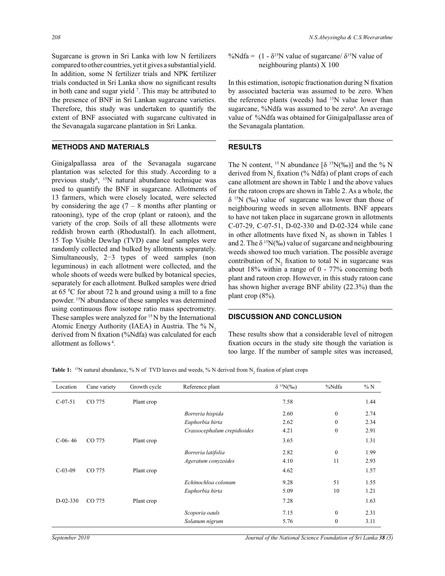Sugarcane is grown in Sri Lanka with low N fertilizers compared to other countries, yet it gives a substantial yield. In addition, some N fertilizer trials and NPK fertilizer trials conducted in Sri Lanka show no significant results in both cane and sugar yield <sup>7</sup> . This may be attributed to the presence of BNF in Sri Lankan sugarcane varieties. Therefore, this study was undertaken to quantify the extent of BNF associated with sugarcane cultivated in the Sevanagala sugarcane plantation in Sri Lanka.

#### **METHODS AND MATERIALS**

Ginigalpallassa area of the Sevanagala sugarcane plantation was selected for this study. According to a previous study<sup>6</sup>, <sup>15</sup>N natural abundance technique was used to quantify the BNF in sugarcane. Allotments of 13 farmers, which were closely located, were selected by considering the age  $(7 - 8$  months after planting or ratooning), type of the crop (plant or ratoon), and the variety of the crop. Soils of all these allotments were reddish brown earth (Rhodustalf). In each allotment, 15 Top Visible Dewlap (TVD) cane leaf samples were randomly collected and bulked by allotments separately. Simultaneously, 2−3 types of weed samples (non leguminous) in each allotment were collected, and the whole shoots of weeds were bulked by botanical species, separately for each allotment. Bulked samples were dried at 65 <sup>0</sup>C for about 72 h and ground using a mill to a fine powder.<sup>15</sup>N abundance of these samples was determined using continuous flow isotope ratio mass spectrometry. These samples were analyzed for  $15N$  by the International Atomic Energy Authority (IAEA) in Austria. The  $\%$  N<sub>2</sub> derived from N fixation (%Ndfa) was calculated for each allotment as follows<sup>4</sup>.

%Ndfa =  $(1 - \delta^{15}N)$  value of sugarcane/  $\delta^{15}N$  value of neighbouring plants) X 100

In this estimation, isotopic fractionation during N fixation by associated bacteria was assumed to be zero. When the reference plants (weeds) had <sup>15</sup>N value lower than sugarcane, %Ndfa was assumed to be zero<sup>4</sup>. An average value of %Ndfa was obtained for Ginigalpallasse area of the Sevanagala plantation.

#### **RESULTS**

 $\overline{a}$ 

The N content, <sup>15</sup> N abundance  $\delta$  <sup>15</sup>N(‰)] and the % N derived from  $N_2$  fixation (% Ndfa) of plant crops of each cane allotment are shown in Table 1 and the above values for the ratoon crops are shown in Table 2. As a whole, the  $\delta$ <sup>15</sup>N (‰) value of sugarcane was lower than those of neighbouring weeds in seven allotments. BNF appears to have not taken place in sugarcane grown in allotments C-07-29, C-07-51, D-02-330 and D-02-324 while cane in other allotments have fixed  $N_2$  as shown in Tables 1 and 2. The  $\delta^{15}N(\%)$  value of sugarcane and neighbouring weeds showed too much variation. The possible average contribution of  $N_2$  fixation to total N in sugarcane was about 18% within a range of 0 - 77% concerning both plant and ratoon crop. However, in this study ratoon cane has shown higher average BNF ability (22.3%) than the plant crop (8%).

#### **DISCUSSION AND CONCLUSION**

These results show that a considerable level of nitrogen fixation occurs in the study site though the variation is too large. If the number of sample sites was increased,

**Table 1:** <sup>15</sup>N natural abundance, % N of TVD leaves and weeds, % N derived from  $N_2$  fixation of plant crops

| Location   | Cane variety | Growth cycle | Reference plant             | $\delta^{15}N(\%0)$ | %Ndfa        | $\% N$ |
|------------|--------------|--------------|-----------------------------|---------------------|--------------|--------|
| $C-07-51$  | CO 775       | Plant crop   |                             | 7.58                |              | 1.44   |
|            |              |              | Borreria hispida            | 2.60                | $\mathbf{0}$ | 2.74   |
|            |              |              | Euphorbia hirta             | 2.62                | $\mathbf{0}$ | 2.34   |
|            |              |              | Crassocephalum crepidioides | 4.21                | $\mathbf{0}$ | 2.91   |
| $C-06-46$  | CO 775       | Plant crop   |                             | 3.65                |              | 1.31   |
|            |              |              | Borreria latifolia          | 2.82                | $\mathbf{0}$ | 1.99   |
|            |              |              | Ageratum conyzoides         | 4.10                | 11           | 2.93   |
| $C-03-09$  | CO 775       | Plant crop   |                             | 4.62                |              | 1.57   |
|            |              |              | Echinochloa colonum         | 9.28                | 51           | 1.55   |
|            |              |              | Euphorbia hirta             | 5.09                | 10           | 1.21   |
| $D-02-330$ | CO 775       | Plant crop   |                             | 7.28                |              | 1.63   |
|            |              |              | Scoporia oauls              | 7.15                | $\mathbf{0}$ | 2.31   |
|            |              |              | Solanum nigrum              | 5.76                | $\mathbf{0}$ | 3.11   |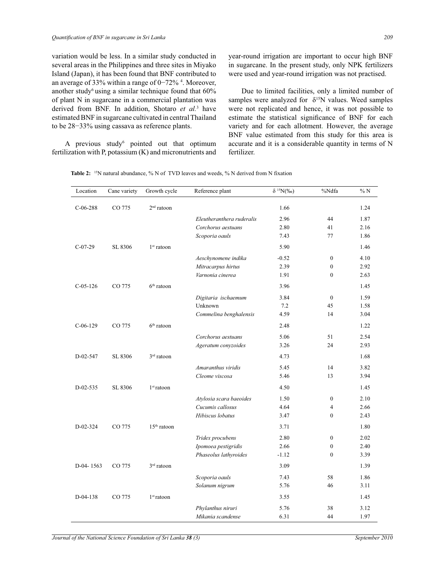variation would be less. In a similar study conducted in several areas in the Philippines and three sites in Miyako Island (Japan), it has been found that BNF contributed to an average of 33% within a range of 0−72%<sup>4</sup>. Moreover, another study<sup>6</sup> using a similar technique found that  $60\%$ of plant N in sugarcane in a commercial plantation was derived from BNF. In addition, Shotaro *et al.*<sup>3</sup> have estimated BNF in sugarcane cultivated in central Thailand to be 28−33% using cassava as reference plants.

A previous study pointed out that optimum fertilization with P, potassium (K) and micronutrients and

year-round irrigation are important to occur high BNF in sugarcane. In the present study, only NPK fertilizers were used and year-round irrigation was not practised.

 Due to limited facilities, only a limited number of samples were analyzed for  $\delta^{15}N$  values. Weed samples were not replicated and hence, it was not possible to estimate the statistical significance of BNF for each variety and for each allotment. However, the average BNF value estimated from this study for this area is accurate and it is a considerable quantity in terms of N fertilizer.

|  | <b>Table 2:</b> <sup>15</sup> N natural abundance, $\%$ N of TVD leaves and weeds, $\%$ N derived from N fixation |  |  |  |  |
|--|-------------------------------------------------------------------------------------------------------------------|--|--|--|--|
|--|-------------------------------------------------------------------------------------------------------------------|--|--|--|--|

| Location    | Cane variety | Growth cycle  | Reference plant           | $\delta^{15}N(\%0)$ | %Ndfa            | %N   |
|-------------|--------------|---------------|---------------------------|---------------------|------------------|------|
| $C-06-288$  | CO 775       | $2nd$ ratoon  |                           | 1.66                |                  | 1.24 |
|             |              |               | Eleutheranthera ruderalis | 2.96                | 44               | 1.87 |
|             |              |               | Corchorus aestuans        | 2.80                | 41               | 2.16 |
|             |              |               | Scoporia oauls            | 7.43                | 77               | 1.86 |
| $C-07-29$   | SL 8306      | $1st$ ratoon  |                           | 5.90                |                  | 1.46 |
|             |              |               | Aeschynomene indika       | $-0.52$             | $\mathbf{0}$     | 4.10 |
|             |              |               | Mitracarpus hirtus        | 2.39                | $\mathbf{0}$     | 2.92 |
|             |              |               | Varnonia cinerea          | 1.91                | $\mathbf{0}$     | 2.63 |
| $C-05-126$  | CO 775       | $6th$ ratoon  |                           | 3.96                |                  | 1.45 |
|             |              |               | Digitaria ischaemum       | 3.84                | $\mathbf{0}$     | 1.59 |
|             |              |               | Unknown                   | 7.2                 | 45               | 1.58 |
|             |              |               | Commelina benghalensis    | 4.59                | 14               | 3.04 |
| $C-06-129$  | CO 775       | $6th$ ratoon  |                           | 2.48                |                  | 1.22 |
|             |              |               | Corchorus aestuans        | 5.06                | 51               | 2.54 |
|             |              |               | Ageratum conyzoides       | 3.26                | 24               | 2.93 |
| D-02-547    | SL 8306      | $3rd$ ratoon  |                           | 4.73                |                  | 1.68 |
|             |              |               | Amaranthus viridis        | 5.45                | 14               | 3.82 |
|             |              |               | Cleome viscosa            | 5.46                | 13               | 3.94 |
| $D-02-535$  | SL 8306      | $1st$ ratoon  |                           | 4.50                |                  | 1.45 |
|             |              |               | Atylosia scara baeoides   | 1.50                | $\mathbf{0}$     | 2.10 |
|             |              |               | Cucumis callosus          | 4.64                | $\overline{4}$   | 2.66 |
|             |              |               | Hibiscus lobatus          | 3.47                | $\theta$         | 2.43 |
| $D-02-324$  | CO 775       | $15th$ ratoon |                           | 3.71                |                  | 1.80 |
|             |              |               | Tridex procubens          | 2.80                | $\boldsymbol{0}$ | 2.02 |
|             |              |               | Ipomoea pestigridis       | 2.66                | $\theta$         | 2.40 |
|             |              |               | Phaseolus lathyroides     | $-1.12$             | $\mathbf{0}$     | 3.39 |
| $D-04-1563$ | CO 775       | $3rd$ ratoon  |                           | 3.09                |                  | 1.39 |
|             |              |               | Scoporia oauls            | 7.43                | 58               | 1.86 |
|             |              |               | Solanum nigrum            | 5.76                | 46               | 3.11 |
| D-04-138    | CO 775       | $1st$ ratoon  |                           | 3.55                |                  | 1.45 |
|             |              |               | Phylanthus niruri         | 5.76                | 38               | 3.12 |
|             |              |               | Mikania scandense         | 6.31                | 44               | 1.97 |